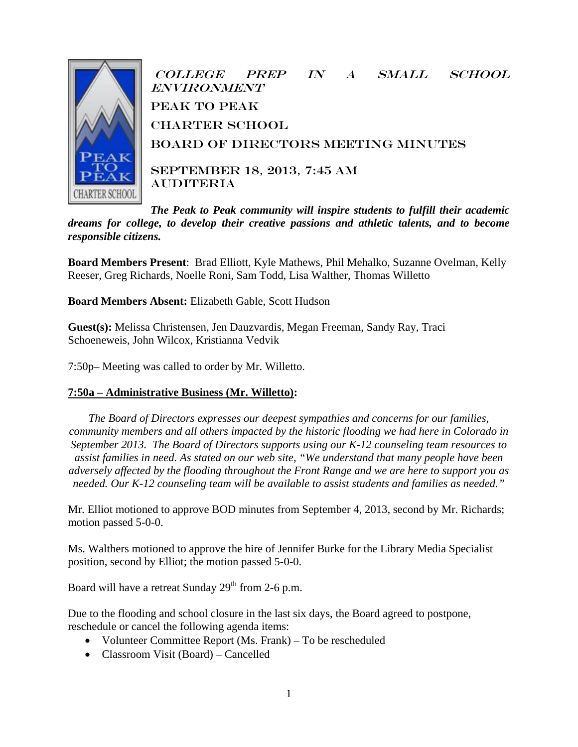

College Prep in a Small School **ENVIRONMENT** peak to Peak **CHARTER SCHOOL** Board of Directors Meeting Minutes SEPTEMBER 18, 2013, 7:45 AM **AUDITERIA** 

*The Peak to Peak community will inspire students to fulfill their academic dreams for college, to develop their creative passions and athletic talents, and to become responsible citizens.*

**Board Members Present**: Brad Elliott, Kyle Mathews, Phil Mehalko, Suzanne Ovelman, Kelly Reeser, Greg Richards, Noelle Roni, Sam Todd, Lisa Walther, Thomas Willetto

**Board Members Absent:** Elizabeth Gable, Scott Hudson

**Guest(s):** Melissa Christensen, Jen Dauzvardis, Megan Freeman, Sandy Ray, Traci Schoeneweis, John Wilcox, Kristianna Vedvik

7:50p– Meeting was called to order by Mr. Willetto.

### **7:50a – Administrative Business (Mr. Willetto):**

*The Board of Directors expresses our deepest sympathies and concerns for our families, community members and all others impacted by the historic flooding we had here in Colorado in September 2013. The Board of Directors supports using our K-12 counseling team resources to assist families in need. As stated on our web site, "We understand that many people have been adversely affected by the flooding throughout the Front Range and we are here to support you as needed. Our K-12 counseling team will be available to assist students and families as needed."*

Mr. Elliot motioned to approve BOD minutes from September 4, 2013, second by Mr. Richards; motion passed 5-0-0.

Ms. Walthers motioned to approve the hire of Jennifer Burke for the Library Media Specialist position, second by Elliot; the motion passed 5-0-0.

Board will have a retreat Sunday  $29<sup>th</sup>$  from 2-6 p.m.

Due to the flooding and school closure in the last six days, the Board agreed to postpone, reschedule or cancel the following agenda items:

- Volunteer Committee Report (Ms. Frank) To be rescheduled
- Classroom Visit (Board) Cancelled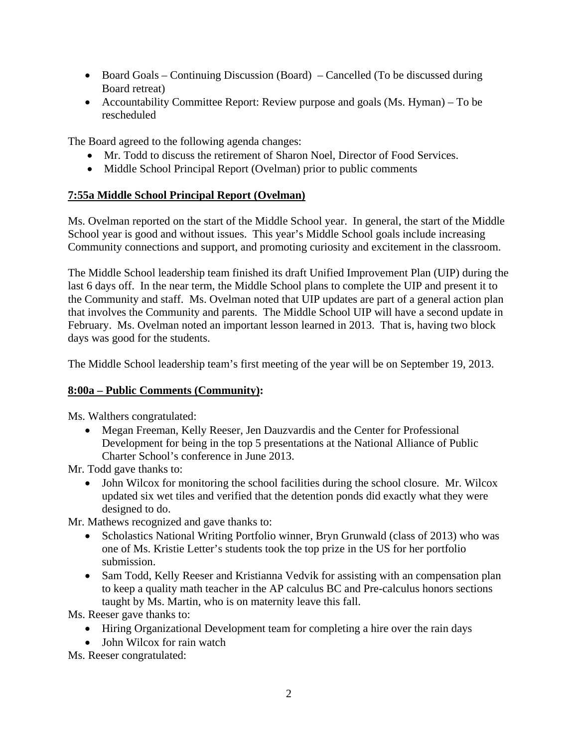- Board Goals Continuing Discussion (Board) Cancelled (To be discussed during Board retreat)
- Accountability Committee Report: Review purpose and goals (Ms. Hyman) To be rescheduled

The Board agreed to the following agenda changes:

- Mr. Todd to discuss the retirement of Sharon Noel, Director of Food Services.
- Middle School Principal Report (Ovelman) prior to public comments

# **7:55a Middle School Principal Report (Ovelman)**

Ms. Ovelman reported on the start of the Middle School year. In general, the start of the Middle School year is good and without issues. This year's Middle School goals include increasing Community connections and support, and promoting curiosity and excitement in the classroom.

The Middle School leadership team finished its draft Unified Improvement Plan (UIP) during the last 6 days off. In the near term, the Middle School plans to complete the UIP and present it to the Community and staff. Ms. Ovelman noted that UIP updates are part of a general action plan that involves the Community and parents. The Middle School UIP will have a second update in February. Ms. Ovelman noted an important lesson learned in 2013. That is, having two block days was good for the students.

The Middle School leadership team's first meeting of the year will be on September 19, 2013.

### **8:00a – Public Comments (Community):**

Ms. Walthers congratulated:

• Megan Freeman, Kelly Reeser, Jen Dauzvardis and the Center for Professional Development for being in the top 5 presentations at the National Alliance of Public Charter School's conference in June 2013.

Mr. Todd gave thanks to:

• John Wilcox for monitoring the school facilities during the school closure. Mr. Wilcox updated six wet tiles and verified that the detention ponds did exactly what they were designed to do.

Mr. Mathews recognized and gave thanks to:

- Scholastics National Writing Portfolio winner, Bryn Grunwald (class of 2013) who was one of Ms. Kristie Letter's students took the top prize in the US for her portfolio submission.
- Sam Todd, Kelly Reeser and Kristianna Vedvik for assisting with an compensation plan to keep a quality math teacher in the AP calculus BC and Pre-calculus honors sections taught by Ms. Martin, who is on maternity leave this fall.

Ms. Reeser gave thanks to:

- Hiring Organizational Development team for completing a hire over the rain days
- John Wilcox for rain watch

Ms. Reeser congratulated: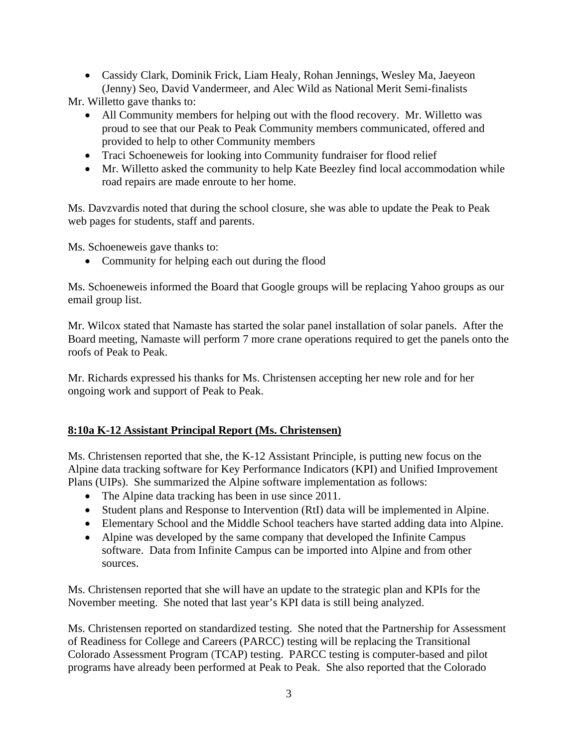• Cassidy Clark, Dominik Frick, Liam Healy, Rohan Jennings, Wesley Ma, Jaeyeon (Jenny) Seo, David Vandermeer, and Alec Wild as National Merit Semi-finalists

Mr. Willetto gave thanks to:

- All Community members for helping out with the flood recovery. Mr. Willetto was proud to see that our Peak to Peak Community members communicated, offered and provided to help to other Community members
- Traci Schoeneweis for looking into Community fundraiser for flood relief
- Mr. Willetto asked the community to help Kate Beezley find local accommodation while road repairs are made enroute to her home.

Ms. Davzvardis noted that during the school closure, she was able to update the Peak to Peak web pages for students, staff and parents.

Ms. Schoeneweis gave thanks to:

• Community for helping each out during the flood

Ms. Schoeneweis informed the Board that Google groups will be replacing Yahoo groups as our email group list.

Mr. Wilcox stated that Namaste has started the solar panel installation of solar panels. After the Board meeting, Namaste will perform 7 more crane operations required to get the panels onto the roofs of Peak to Peak.

Mr. Richards expressed his thanks for Ms. Christensen accepting her new role and for her ongoing work and support of Peak to Peak.

### **8:10a K-12 Assistant Principal Report (Ms. Christensen)**

Ms. Christensen reported that she, the K-12 Assistant Principle, is putting new focus on the Alpine data tracking software for Key Performance Indicators (KPI) and Unified Improvement Plans (UIPs). She summarized the Alpine software implementation as follows:

- The Alpine data tracking has been in use since 2011.
- Student plans and Response to Intervention (RtI) data will be implemented in Alpine.
- Elementary School and the Middle School teachers have started adding data into Alpine.
- Alpine was developed by the same company that developed the Infinite Campus software. Data from Infinite Campus can be imported into Alpine and from other sources.

Ms. Christensen reported that she will have an update to the strategic plan and KPIs for the November meeting. She noted that last year's KPI data is still being analyzed.

Ms. Christensen reported on standardized testing. She noted that the Partnership for Assessment of Readiness for College and Careers (PARCC) testing will be replacing the Transitional Colorado Assessment Program (TCAP) testing. PARCC testing is computer-based and pilot programs have already been performed at Peak to Peak. She also reported that the Colorado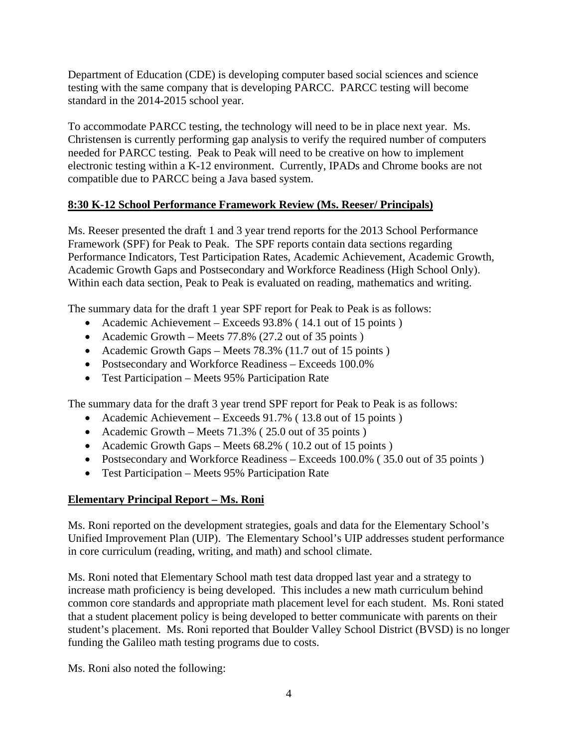Department of Education (CDE) is developing computer based social sciences and science testing with the same company that is developing PARCC. PARCC testing will become standard in the 2014-2015 school year.

To accommodate PARCC testing, the technology will need to be in place next year. Ms. Christensen is currently performing gap analysis to verify the required number of computers needed for PARCC testing. Peak to Peak will need to be creative on how to implement electronic testing within a K-12 environment. Currently, IPADs and Chrome books are not compatible due to PARCC being a Java based system.

## **8:30 K-12 School Performance Framework Review (Ms. Reeser/ Principals)**

Ms. Reeser presented the draft 1 and 3 year trend reports for the 2013 School Performance Framework (SPF) for Peak to Peak. The SPF reports contain data sections regarding Performance Indicators, Test Participation Rates, Academic Achievement, Academic Growth, Academic Growth Gaps and Postsecondary and Workforce Readiness (High School Only). Within each data section, Peak to Peak is evaluated on reading, mathematics and writing.

The summary data for the draft 1 year SPF report for Peak to Peak is as follows:

- Academic Achievement Exceeds 93.8% (14.1 out of 15 points)
- Academic Growth Meets 77.8% (27.2 out of 35 points)
- Academic Growth Gaps Meets 78.3% (11.7 out of 15 points)
- Postsecondary and Workforce Readiness Exceeds 100.0%
- Test Participation Meets 95% Participation Rate

The summary data for the draft 3 year trend SPF report for Peak to Peak is as follows:

- Academic Achievement Exceeds 91.7% (13.8 out of 15 points)
- Academic Growth Meets 71.3% (25.0 out of 35 points)
- Academic Growth Gaps Meets 68.2% (10.2 out of 15 points)
- Postsecondary and Workforce Readiness Exceeds 100.0% (35.0 out of 35 points)
- Test Participation Meets 95% Participation Rate

# **Elementary Principal Report – Ms. Roni**

Ms. Roni reported on the development strategies, goals and data for the Elementary School's Unified Improvement Plan (UIP). The Elementary School's UIP addresses student performance in core curriculum (reading, writing, and math) and school climate.

Ms. Roni noted that Elementary School math test data dropped last year and a strategy to increase math proficiency is being developed. This includes a new math curriculum behind common core standards and appropriate math placement level for each student. Ms. Roni stated that a student placement policy is being developed to better communicate with parents on their student's placement. Ms. Roni reported that Boulder Valley School District (BVSD) is no longer funding the Galileo math testing programs due to costs.

Ms. Roni also noted the following: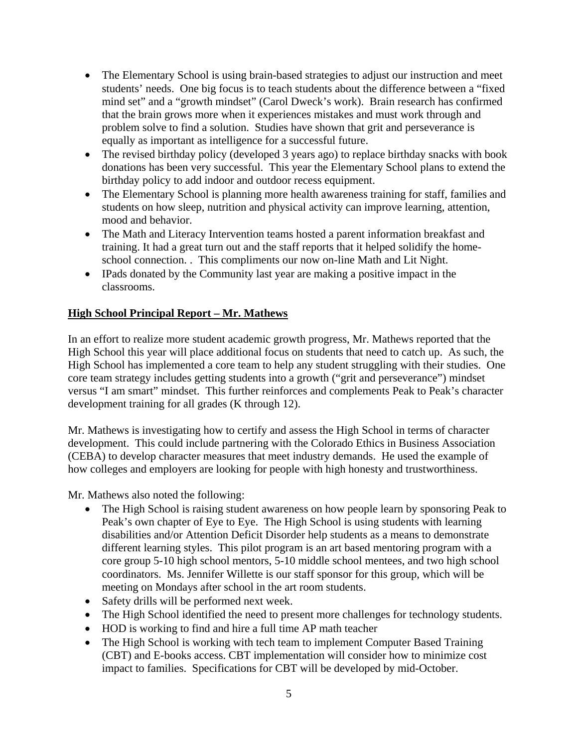- The Elementary School is using brain-based strategies to adjust our instruction and meet students' needs. One big focus is to teach students about the difference between a "fixed mind set" and a "growth mindset" (Carol Dweck's work). Brain research has confirmed that the brain grows more when it experiences mistakes and must work through and problem solve to find a solution. Studies have shown that grit and perseverance is equally as important as intelligence for a successful future.
- The revised birthday policy (developed 3 years ago) to replace birthday snacks with book donations has been very successful. This year the Elementary School plans to extend the birthday policy to add indoor and outdoor recess equipment.
- The Elementary School is planning more health awareness training for staff, families and students on how sleep, nutrition and physical activity can improve learning, attention, mood and behavior.
- The Math and Literacy Intervention teams hosted a parent information breakfast and training. It had a great turn out and the staff reports that it helped solidify the homeschool connection. . This compliments our now on-line Math and Lit Night.
- IPads donated by the Community last year are making a positive impact in the classrooms.

## **High School Principal Report – Mr. Mathews**

In an effort to realize more student academic growth progress, Mr. Mathews reported that the High School this year will place additional focus on students that need to catch up. As such, the High School has implemented a core team to help any student struggling with their studies. One core team strategy includes getting students into a growth ("grit and perseverance") mindset versus "I am smart" mindset. This further reinforces and complements Peak to Peak's character development training for all grades (K through 12).

Mr. Mathews is investigating how to certify and assess the High School in terms of character development. This could include partnering with the Colorado Ethics in Business Association (CEBA) to develop character measures that meet industry demands. He used the example of how colleges and employers are looking for people with high honesty and trustworthiness.

Mr. Mathews also noted the following:

- The High School is raising student awareness on how people learn by sponsoring Peak to Peak's own chapter of Eye to Eye. The High School is using students with learning disabilities and/or Attention Deficit Disorder help students as a means to demonstrate different learning styles. This pilot program is an art based mentoring program with a core group 5-10 high school mentors, 5-10 middle school mentees, and two high school coordinators. Ms. Jennifer Willette is our staff sponsor for this group, which will be meeting on Mondays after school in the art room students.
- Safety drills will be performed next week.
- The High School identified the need to present more challenges for technology students.
- HOD is working to find and hire a full time AP math teacher
- The High School is working with tech team to implement Computer Based Training (CBT) and E-books access. CBT implementation will consider how to minimize cost impact to families. Specifications for CBT will be developed by mid-October.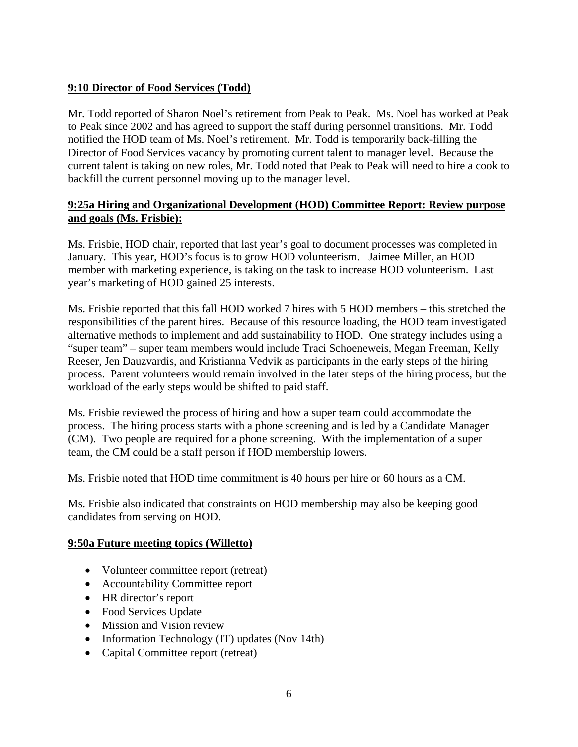# **9:10 Director of Food Services (Todd)**

Mr. Todd reported of Sharon Noel's retirement from Peak to Peak. Ms. Noel has worked at Peak to Peak since 2002 and has agreed to support the staff during personnel transitions. Mr. Todd notified the HOD team of Ms. Noel's retirement. Mr. Todd is temporarily back-filling the Director of Food Services vacancy by promoting current talent to manager level. Because the current talent is taking on new roles, Mr. Todd noted that Peak to Peak will need to hire a cook to backfill the current personnel moving up to the manager level.

### **9:25a Hiring and Organizational Development (HOD) Committee Report: Review purpose and goals (Ms. Frisbie):**

Ms. Frisbie, HOD chair, reported that last year's goal to document processes was completed in January. This year, HOD's focus is to grow HOD volunteerism. Jaimee Miller, an HOD member with marketing experience, is taking on the task to increase HOD volunteerism. Last year's marketing of HOD gained 25 interests.

Ms. Frisbie reported that this fall HOD worked 7 hires with 5 HOD members – this stretched the responsibilities of the parent hires. Because of this resource loading, the HOD team investigated alternative methods to implement and add sustainability to HOD. One strategy includes using a "super team" – super team members would include Traci Schoeneweis, Megan Freeman, Kelly Reeser, Jen Dauzvardis, and Kristianna Vedvik as participants in the early steps of the hiring process. Parent volunteers would remain involved in the later steps of the hiring process, but the workload of the early steps would be shifted to paid staff.

Ms. Frisbie reviewed the process of hiring and how a super team could accommodate the process. The hiring process starts with a phone screening and is led by a Candidate Manager (CM). Two people are required for a phone screening. With the implementation of a super team, the CM could be a staff person if HOD membership lowers.

Ms. Frisbie noted that HOD time commitment is 40 hours per hire or 60 hours as a CM.

Ms. Frisbie also indicated that constraints on HOD membership may also be keeping good candidates from serving on HOD.

#### **9:50a Future meeting topics (Willetto)**

- Volunteer committee report (retreat)
- Accountability Committee report
- HR director's report
- Food Services Update
- Mission and Vision review
- Information Technology (IT) updates (Nov 14th)
- Capital Committee report (retreat)